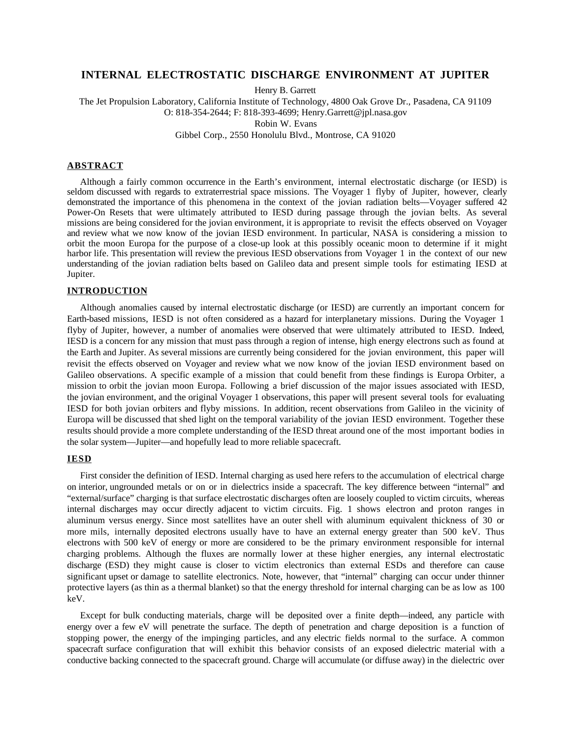# **INTERNAL ELECTROSTATIC DISCHARGE ENVIRONMENT AT JUPITER**

Henry B. Garrett

The Jet Propulsion Laboratory, California Institute of Technology, 4800 Oak Grove Dr., Pasadena, CA 91109 O: 818-354-2644; F: 818-393-4699; Henry.Garrett@jpl.nasa.gov

Robin W. Evans

Gibbel Corp., 2550 Honolulu Blvd., Montrose, CA 91020

#### **ABSTRACT**

Although a fairly common occurrence in the Earth's environment, internal electrostatic discharge (or IESD) is seldom discussed with regards to extraterrestrial space missions. The Voyager 1 flyby of Jupiter, however, clearly demonstrated the importance of this phenomena in the context of the jovian radiation belts—Voyager suffered 42 Power-On Resets that were ultimately attributed to IESD during passage through the jovian belts. As several missions are being considered for the jovian environment, it is appropriate to revisit the effects observed on Voyager and review what we now know of the jovian IESD environment. In particular, NASA is considering a mission to orbit the moon Europa for the purpose of a close-up look at this possibly oceanic moon to determine if it might harbor life. This presentation will review the previous IESD observations from Voyager 1 in the context of our new understanding of the jovian radiation belts based on Galileo data and present simple tools for estimating IESD at Jupiter.

#### **INTRODUCTION**

Although anomalies caused by internal electrostatic discharge (or IESD) are currently an important concern for Earth-based missions, IESD is not often considered as a hazard for interplanetary missions. During the Voyager 1 flyby of Jupiter, however, a number of anomalies were observed that were ultimately attributed to IESD. Indeed, IESD is a concern for any mission that must pass through a region of intense, high energy electrons such as found at the Earth and Jupiter. As several missions are currently being considered for the jovian environment, this paper will revisit the effects observed on Voyager and review what we now know of the jovian IESD environment based on Galileo observations. A specific example of a mission that could benefit from these findings is Europa Orbiter, a mission to orbit the jovian moon Europa. Following a brief discussion of the major issues associated with IESD, the jovian environment, and the original Voyager 1 observations, this paper will present several tools for evaluating IESD for both jovian orbiters and flyby missions. In addition, recent observations from Galileo in the vicinity of Europa will be discussed that shed light on the temporal variability of the jovian IESD environment. Together these results should provide a more complete understanding of the IESD threat around one of the most important bodies in the solar system—Jupiter—and hopefully lead to more reliable spacecraft.

### **IESD**

First consider the definition of IESD. Internal charging as used here refers to the accumulation of electrical charge on interior, ungrounded metals or on or in dielectrics inside a spacecraft. The key difference between "internal" and "external/surface" charging is that surface electrostatic discharges often are loosely coupled to victim circuits, whereas internal discharges may occur directly adjacent to victim circuits. Fig. 1 shows electron and proton ranges in aluminum versus energy. Since most satellites have an outer shell with aluminum equivalent thickness of 30 or more mils, internally deposited electrons usually have to have an external energy greater than 500 keV. Thus electrons with 500 keV of energy or more are considered to be the primary environment responsible for internal charging problems. Although the fluxes are normally lower at these higher energies, any internal electrostatic discharge (ESD) they might cause is closer to victim electronics than external ESDs and therefore can cause significant upset or damage to satellite electronics. Note, however, that "internal" charging can occur under thinner protective layers (as thin as a thermal blanket) so that the energy threshold for internal charging can be as low as 100 keV.

Except for bulk conducting materials, charge will be deposited over a finite depth—indeed, any particle with energy over a few eV will penetrate the surface. The depth of penetration and charge deposition is a function of stopping power, the energy of the impinging particles, and any electric fields normal to the surface. A common spacecraft surface configuration that will exhibit this behavior consists of an exposed dielectric material with a conductive backing connected to the spacecraft ground. Charge will accumulate (or diffuse away) in the dielectric over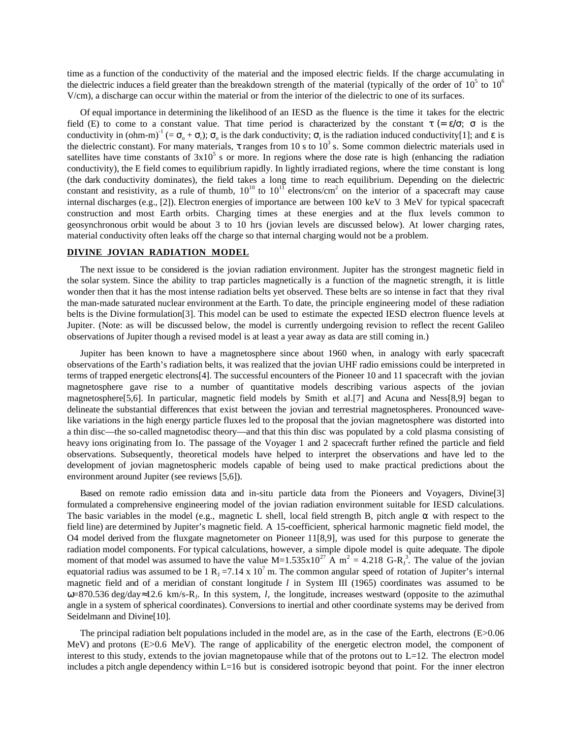time as a function of the conductivity of the material and the imposed electric fields. If the charge accumulating in the dielectric induces a field greater than the breakdown strength of the material (typically of the order of  $10^5$  to  $10^6$ V/cm), a discharge can occur within the material or from the interior of the dielectric to one of its surfaces.

Of equal importance in determining the likelihood of an IESD as the fluence is the time it takes for the electric field (E) to come to a constant value. That time period is characterized by the constant  $\tau$  (=  $\varepsilon/\sigma$ ;  $\sigma$  is the conductivity in (ohm-m)<sup>-1</sup> (=  $\sigma_o$  +  $\sigma_c$ );  $\sigma_o$  is the dark conductivity;  $\sigma_r$  is the radiation induced conductivity[1]; and  $\varepsilon$  is the dielectric constant). For many materials, τ ranges from 10 s to  $10^3$  s. Some common dielectric materials used in satellites have time constants of  $3x10^5$  s or more. In regions where the dose rate is high (enhancing the radiation conductivity), the E field comes to equilibrium rapidly. In lightly irradiated regions, where the time constant is long (the dark conductivity dominates), the field takes a long time to reach equilibrium. Depending on the dielectric constant and resistivity, as a rule of thumb,  $10^{10}$  to  $10^{11}$  electrons/cm<sup>2</sup> on the interior of a spacecraft may cause internal discharges (e.g., [2]). Electron energies of importance are between 100 keV to 3 MeV for typical spacecraft construction and most Earth orbits. Charging times at these energies and at the flux levels common to geosynchronous orbit would be about 3 to 10 hrs (jovian levels are discussed below). At lower charging rates, material conductivity often leaks off the charge so that internal charging would not be a problem.

## **DIVINE JOVIAN RADIATION MODEL**

The next issue to be considered is the jovian radiation environment. Jupiter has the strongest magnetic field in the solar system. Since the ability to trap particles magnetically is a function of the magnetic strength, it is little wonder then that it has the most intense radiation belts yet observed. These belts are so intense in fact that they rival the man-made saturated nuclear environment at the Earth. To date, the principle engineering model of these radiation belts is the Divine formulation[3]. This model can be used to estimate the expected IESD electron fluence levels at Jupiter. (Note: as will be discussed below, the model is currently undergoing revision to reflect the recent Galileo observations of Jupiter though a revised model is at least a year away as data are still coming in.)

Jupiter has been known to have a magnetosphere since about 1960 when, in analogy with early spacecraft observations of the Earth's radiation belts, it was realized that the jovian UHF radio emissions could be interpreted in terms of trapped energetic electrons[4]. The successful encounters of the Pioneer 10 and 11 spacecraft with the jovian magnetosphere gave rise to a number of quantitative models describing various aspects of the jovian magnetosphere[5,6]. In particular, magnetic field models by Smith et al.[7] and Acuna and Ness[8,9] began to delineate the substantial differences that exist between the jovian and terrestrial magnetospheres. Pronounced wavelike variations in the high energy particle fluxes led to the proposal that the jovian magnetosphere was distorted into a thin disc—the so-called magnetodisc theory—and that this thin disc was populated by a cold plasma consisting of heavy ions originating from Io. The passage of the Voyager 1 and 2 spacecraft further refined the particle and field observations. Subsequently, theoretical models have helped to interpret the observations and have led to the development of jovian magnetospheric models capable of being used to make practical predictions about the environment around Jupiter (see reviews [5,6]).

Based on remote radio emission data and in-situ particle data from the Pioneers and Voyagers, Divine[3] formulated a comprehensive engineering model of the jovian radiation environment suitable for IESD calculations. The basic variables in the model (e.g., magnetic L shell, local field strength B, pitch angle  $\alpha$  with respect to the field line) are determined by Jupiter's magnetic field. A 15-coefficient, spherical harmonic magnetic field model, the O4 model derived from the fluxgate magnetometer on Pioneer 11[8,9], was used for this purpose to generate the radiation model components. For typical calculations, however, a simple dipole model is quite adequate. The dipole moment of that model was assumed to have the value  $M=1.535\times10^{27}$  A  $m^2=4.218$  G-R<sub>J</sub><sup>3</sup>. The value of the jovian equatorial radius was assumed to be 1  $R_J = 7.14 \times 10^7$  m. The common angular speed of rotation of Jupiter's internal magnetic field and of a meridian of constant longitude *l* in System III (1965) coordinates was assumed to be ω=870.536 deg/day≈12.6 km/s-RJ. In this system, *l*, the longitude, increases westward (opposite to the azimuthal angle in a system of spherical coordinates). Conversions to inertial and other coordinate systems may be derived from Seidelmann and Divine[10].

The principal radiation belt populations included in the model are, as in the case of the Earth, electrons  $(E>0.06$ MeV) and protons (E>0.6 MeV). The range of applicability of the energetic electron model, the component of interest to this study, extends to the jovian magnetopause while that of the protons out to  $L=12$ . The electron model includes a pitch angle dependency within L=16 but is considered isotropic beyond that point. For the inner electron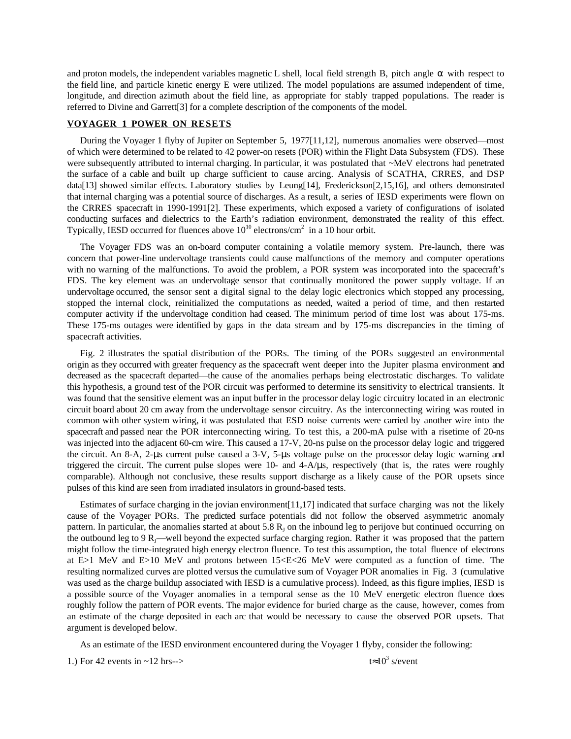and proton models, the independent variables magnetic L shell, local field strength B, pitch angle  $\alpha$  with respect to the field line, and particle kinetic energy E were utilized. The model populations are assumed independent of time, longitude, and direction azimuth about the field line, as appropriate for stably trapped populations. The reader is referred to Divine and Garrett[3] for a complete description of the components of the model.

# **VOYAGER 1 POWER ON RESETS**

During the Voyager 1 flyby of Jupiter on September 5, 1977[11,12], numerous anomalies were observed—most of which were determined to be related to 42 power-on resets (POR) within the Flight Data Subsystem (FDS). These were subsequently attributed to internal charging. In particular, it was postulated that ~MeV electrons had penetrated the surface of a cable and built up charge sufficient to cause arcing. Analysis of SCATHA, CRRES, and DSP data[13] showed similar effects. Laboratory studies by Leung[14], Frederickson[2,15,16], and others demonstrated that internal charging was a potential source of discharges. As a result, a series of IESD experiments were flown on the CRRES spacecraft in 1990-1991[2]. These experiments, which exposed a variety of configurations of isolated conducting surfaces and dielectrics to the Earth's radiation environment, demonstrated the reality of this effect. Typically, IESD occurred for fluences above  $10^{10}$  electrons/cm<sup>2</sup> in a 10 hour orbit.

The Voyager FDS was an on-board computer containing a volatile memory system. Pre-launch, there was concern that power-line undervoltage transients could cause malfunctions of the memory and computer operations with no warning of the malfunctions. To avoid the problem, a POR system was incorporated into the spacecraft's FDS. The key element was an undervoltage sensor that continually monitored the power supply voltage. If an undervoltage occurred, the sensor sent a digital signal to the delay logic electronics which stopped any processing, stopped the internal clock, reinitialized the computations as needed, waited a period of time, and then restarted computer activity if the undervoltage condition had ceased. The minimum period of time lost was about 175-ms. These 175-ms outages were identified by gaps in the data stream and by 175-ms discrepancies in the timing of spacecraft activities.

Fig. 2 illustrates the spatial distribution of the PORs. The timing of the PORs suggested an environmental origin as they occurred with greater frequency as the spacecraft went deeper into the Jupiter plasma environment and decreased as the spacecraft departed—the cause of the anomalies perhaps being electrostatic discharges. To validate this hypothesis, a ground test of the POR circuit was performed to determine its sensitivity to electrical transients. It was found that the sensitive element was an input buffer in the processor delay logic circuitry located in an electronic circuit board about 20 cm away from the undervoltage sensor circuitry. As the interconnecting wiring was routed in common with other system wiring, it was postulated that ESD noise currents were carried by another wire into the spacecraft and passed near the POR interconnecting wiring. To test this, a 200-mA pulse with a risetime of 20-ns was injected into the adjacent 60-cm wire. This caused a 17-V, 20-ns pulse on the processor delay logic and triggered the circuit. An 8-A, 2-µs current pulse caused a 3-V, 5-µs voltage pulse on the processor delay logic warning and triggered the circuit. The current pulse slopes were 10- and 4-A/µs, respectively (that is, the rates were roughly comparable). Although not conclusive, these results support discharge as a likely cause of the POR upsets since pulses of this kind are seen from irradiated insulators in ground-based tests.

Estimates of surface charging in the jovian environment [11,17] indicated that surface charging was not the likely cause of the Voyager PORs. The predicted surface potentials did not follow the observed asymmetric anomaly pattern. In particular, the anomalies started at about 5.8  $R_1$  on the inbound leg to perijove but continued occurring on the outbound leg to 9 R<sub>I</sub>—well beyond the expected surface charging region. Rather it was proposed that the pattern might follow the time-integrated high energy electron fluence. To test this assumption, the total fluence of electrons at E>1 MeV and E>10 MeV and protons between 15<E<26 MeV were computed as a function of time. The resulting normalized curves are plotted versus the cumulative sum of Voyager POR anomalies in Fig. 3 (cumulative was used as the charge buildup associated with IESD is a cumulative process). Indeed, as this figure implies, IESD is a possible source of the Voyager anomalies in a temporal sense as the 10 MeV energetic electron fluence does roughly follow the pattern of POR events. The major evidence for buried charge as the cause, however, comes from an estimate of the charge deposited in each arc that would be necessary to cause the observed POR upsets. That argument is developed below.

As an estimate of the IESD environment encountered during the Voyager 1 flyby, consider the following:

1.) For 42 events in  $\sim$ 12 hrs-->

 $t \approx 10^3$  s/event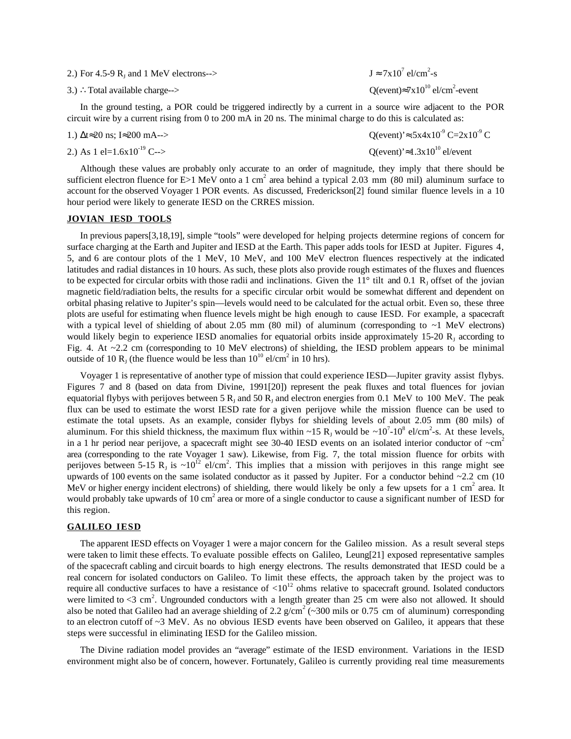- 2.) For 4.5-9  $R_1$  and 1 MeV electrons-->
- 3.) ∴Total available charge-->

 $el/cm<sup>2</sup> - s$ O(event) $\approx 7x10^{10}$  el/cm<sup>2</sup>-event

In the ground testing, a POR could be triggered indirectly by a current in a source wire adjacent to the POR circuit wire by a current rising from 0 to 200 mA in 20 ns. The minimal charge to do this is calculated as:

1.)  $\Delta t \approx 20$  ns; I≈200 mA--> Q(event)'≈.5x4x10<sup>-9</sup> C=2x10<sup>-9</sup> C 2.) As 1 el=1.6x10<sup>-19</sup> C--> Q(event)'≈1.3x10<sup>10</sup> el/event

Although these values are probably only accurate to an order of magnitude, they imply that there should be sufficient electron fluence for  $E>1$  MeV onto a 1 cm<sup>2</sup> area behind a typical 2.03 mm (80 mil) aluminum surface to account for the observed Voyager 1 POR events. As discussed, Frederickson[2] found similar fluence levels in a 10 hour period were likely to generate IESD on the CRRES mission.

#### **JOVIAN IESD TOOLS**

In previous papers[3,18,19], simple "tools" were developed for helping projects determine regions of concern for surface charging at the Earth and Jupiter and IESD at the Earth. This paper adds tools for IESD at Jupiter. Figures 4, 5, and 6 are contour plots of the 1 MeV, 10 MeV, and 100 MeV electron fluences respectively at the indicated latitudes and radial distances in 10 hours. As such, these plots also provide rough estimates of the fluxes and fluences to be expected for circular orbits with those radii and inclinations. Given the  $11^{\circ}$  tilt and 0.1 R<sub>1</sub> offset of the jovian magnetic field/radiation belts, the results for a specific circular orbit would be somewhat different and dependent on orbital phasing relative to Jupiter's spin—levels would need to be calculated for the actual orbit. Even so, these three plots are useful for estimating when fluence levels might be high enough to cause IESD. For example, a spacecraft with a typical level of shielding of about 2.05 mm (80 mil) of aluminum (corresponding to  $\sim$ 1 MeV electrons) would likely begin to experience IESD anomalies for equatorial orbits inside approximately 15-20  $R_1$  according to Fig. 4. At  $\sim$ 2.2 cm (corresponding to 10 MeV electrons) of shielding, the IESD problem appears to be minimal outside of 10  $R_J$  (the fluence would be less than  $10^{10}$  el/cm<sup>2</sup> in 10 hrs).

Voyager 1 is representative of another type of mission that could experience IESD—Jupiter gravity assist flybys. Figures 7 and 8 (based on data from Divine, 1991[20]) represent the peak fluxes and total fluences for jovian equatorial flybys with perijoves between 5  $R<sub>J</sub>$  and 50  $R<sub>J</sub>$  and electron energies from 0.1 MeV to 100 MeV. The peak flux can be used to estimate the worst IESD rate for a given perijove while the mission fluence can be used to estimate the total upsets. As an example, consider flybys for shielding levels of about 2.05 mm (80 mils) of aluminum. For this shield thickness, the maximum flux within  $\sim$ 15 R<sub>J</sub> would be  $\sim$ 10<sup>7</sup>-10<sup>8</sup> el/cm<sup>2</sup>-s. At these levels, in a 1 hr period near perijove, a spacecraft might see 30-40 IESD events on an isolated interior conductor of  $\sim$ cm<sup>2</sup> area (corresponding to the rate Voyager 1 saw). Likewise, from Fig. 7, the total mission fluence for orbits with perijoves between 5-15 R<sub>J</sub> is  $\sim 10^{12}$  el/cm<sup>2</sup>. This implies that a mission with perijoves in this range might see upwards of 100 events on the same isolated conductor as it passed by Jupiter. For a conductor behind  $\sim$ 2.2 cm (10) MeV or higher energy incident electrons) of shielding, there would likely be only a few upsets for a 1 cm<sup>2</sup> area. It would probably take upwards of 10 cm<sup>2</sup> area or more of a single conductor to cause a significant number of IESD for this region.

### **GALILEO IESD**

The apparent IESD effects on Voyager 1 were a major concern for the Galileo mission. As a result several steps were taken to limit these effects. To evaluate possible effects on Galileo, Leung[21] exposed representative samples of the spacecraft cabling and circuit boards to high energy electrons. The results demonstrated that IESD could be a real concern for isolated conductors on Galileo. To limit these effects, the approach taken by the project was to require all conductive surfaces to have a resistance of  $\langle 10^{12}$  ohms relative to spacecraft ground. Isolated conductors were limited to  $\lt 3$  cm<sup>2</sup>. Ungrounded conductors with a length greater than 25 cm were also not allowed. It should also be noted that Galileo had an average shielding of 2.2  $g/cm^2$  (~300 mils or 0.75 cm of aluminum) corresponding to an electron cutoff of  $\sim$ 3 MeV. As no obvious IESD events have been observed on Galileo, it appears that these steps were successful in eliminating IESD for the Galileo mission.

The Divine radiation model provides an "average" estimate of the IESD environment. Variations in the IESD environment might also be of concern, however. Fortunately, Galileo is currently providing real time measurements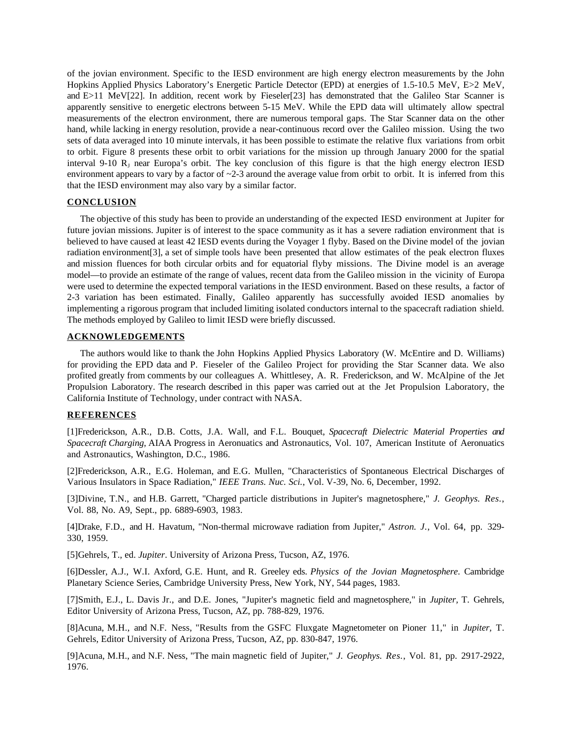of the jovian environment. Specific to the IESD environment are high energy electron measurements by the John Hopkins Applied Physics Laboratory's Energetic Particle Detector (EPD) at energies of 1.5-10.5 MeV, E>2 MeV, and E>11 MeV[22]. In addition, recent work by Fieseler[23] has demonstrated that the Galileo Star Scanner is apparently sensitive to energetic electrons between 5-15 MeV. While the EPD data will ultimately allow spectral measurements of the electron environment, there are numerous temporal gaps. The Star Scanner data on the other hand, while lacking in energy resolution, provide a near-continuous record over the Galileo mission. Using the two sets of data averaged into 10 minute intervals, it has been possible to estimate the relative flux variations from orbit to orbit. Figure 8 presents these orbit to orbit variations for the mission up through January 2000 for the spatial interval 9-10  $R_1$  near Europa's orbit. The key conclusion of this figure is that the high energy electron IESD environment appears to vary by a factor of  $\sim$  2-3 around the average value from orbit to orbit. It is inferred from this that the IESD environment may also vary by a similar factor.

## **CONCLUSION**

The objective of this study has been to provide an understanding of the expected IESD environment at Jupiter for future jovian missions. Jupiter is of interest to the space community as it has a severe radiation environment that is believed to have caused at least 42 IESD events during the Voyager 1 flyby. Based on the Divine model of the jovian radiation environment[3], a set of simple tools have been presented that allow estimates of the peak electron fluxes and mission fluences for both circular orbits and for equatorial flyby missions. The Divine model is an average model—to provide an estimate of the range of values, recent data from the Galileo mission in the vicinity of Europa were used to determine the expected temporal variations in the IESD environment. Based on these results, a factor of 2-3 variation has been estimated. Finally, Galileo apparently has successfully avoided IESD anomalies by implementing a rigorous program that included limiting isolated conductors internal to the spacecraft radiation shield. The methods employed by Galileo to limit IESD were briefly discussed.

## **ACKNOWLEDGEMENTS**

The authors would like to thank the John Hopkins Applied Physics Laboratory (W. McEntire and D. Williams) for providing the EPD data and P. Fieseler of the Galileo Project for providing the Star Scanner data. We also profited greatly from comments by our colleagues A. Whittlesey, A. R. Frederickson, and W. McAlpine of the Jet Propulsion Laboratory. The research described in this paper was carried out at the Jet Propulsion Laboratory, the California Institute of Technology, under contract with NASA.

# **REFERENCES**

[1]Frederickson, A.R., D.B. Cotts, J.A. Wall, and F.L. Bouquet, *Spacecraft Dielectric Material Properties and Spacecraft Charging*, AIAA Progress in Aeronuatics and Astronautics, Vol. 107, American Institute of Aeronuatics and Astronautics, Washington, D.C., 1986.

[2]Frederickson, A.R., E.G. Holeman, and E.G. Mullen, "Characteristics of Spontaneous Electrical Discharges of Various Insulators in Space Radiation," *IEEE Trans. Nuc. Sci.*, Vol. V-39, No. 6, December, 1992.

[3]Divine, T.N., and H.B. Garrett, "Charged particle distributions in Jupiter's magnetosphere," *J. Geophys. Res.*, Vol. 88, No. A9, Sept., pp. 6889-6903, 1983.

[4]Drake, F.D., and H. Havatum, "Non-thermal microwave radiation from Jupiter," *Astron. J.*, Vol. 64, pp. 329- 330, 1959.

[5]Gehrels, T., ed. *Jupiter*. University of Arizona Press, Tucson, AZ, 1976.

[6]Dessler, A.J., W.I. Axford, G.E. Hunt, and R. Greeley eds. *Physics of the Jovian Magnetosphere*. Cambridge Planetary Science Series, Cambridge University Press, New York, NY, 544 pages, 1983.

[7]Smith, E.J., L. Davis Jr., and D.E. Jones, "Jupiter's magnetic field and magnetosphere," in *Jupiter,* T. Gehrels, Editor University of Arizona Press, Tucson, AZ, pp. 788-829, 1976.

[8]Acuna, M.H., and N.F. Ness, "Results from the GSFC Fluxgate Magnetometer on Pioner 11," in *Jupiter,* T. Gehrels, Editor University of Arizona Press, Tucson, AZ, pp. 830-847, 1976.

[9]Acuna, M.H., and N.F. Ness, "The main magnetic field of Jupiter," *J. Geophys. Res.*, Vol. 81, pp. 2917-2922, 1976.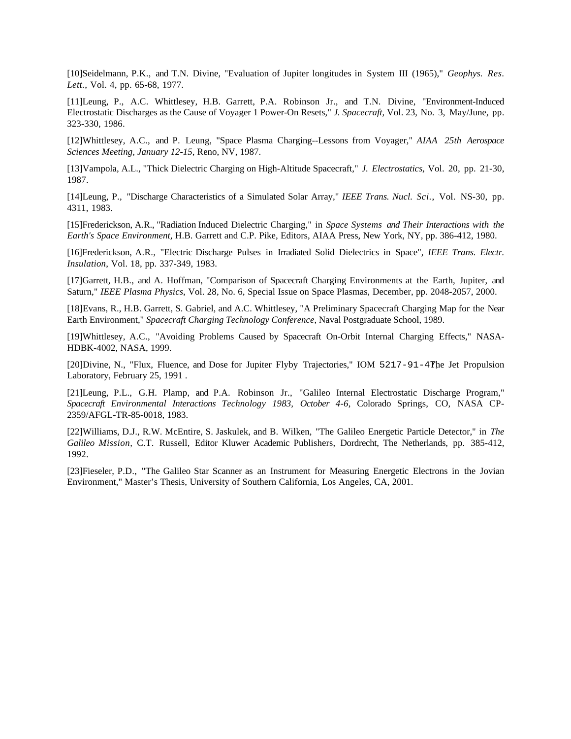[10]Seidelmann, P.K., and T.N. Divine, "Evaluation of Jupiter longitudes in System III (1965)," *Geophys. Res. Lett.*, Vol. 4, pp. 65-68, 1977.

[11]Leung, P., A.C. Whittlesey, H.B. Garrett, P.A. Robinson Jr., and T.N. Divine, "Environment-Induced Electrostatic Discharges as the Cause of Voyager 1 Power-On Resets," *J. Spacecraft*, Vol. 23, No. 3, May/June, pp. 323-330, 1986.

[12]Whittlesey, A.C., and P. Leung, "Space Plasma Charging--Lessons from Voyager," *AIAA 25th Aerospace Sciences Meeting, January 12-15*, Reno, NV, 1987.

[13]Vampola, A.L., "Thick Dielectric Charging on High-Altitude Spacecraft," *J. Electrostatics*, Vol. 20, pp. 21-30, 1987.

[14]Leung, P., "Discharge Characteristics of a Simulated Solar Array," *IEEE Trans. Nucl. Sci.*, Vol. NS-30, pp. 4311, 1983.

[15]Frederickson, A.R., "Radiation Induced Dielectric Charging," in *Space Systems and Their Interactions with the Earth's Space Environment,* H.B. Garrett and C.P. Pike, Editors, AIAA Press, New York, NY, pp. 386-412, 1980.

[16]Frederickson, A.R., "Electric Discharge Pulses in Irradiated Solid Dielectrics in Space", *IEEE Trans. Electr. Insulation*, Vol. 18, pp. 337-349, 1983.

[17]Garrett, H.B., and A. Hoffman, "Comparison of Spacecraft Charging Environments at the Earth, Jupiter, and Saturn," *IEEE Plasma Physics*, Vol. 28, No. 6, Special Issue on Space Plasmas, December, pp. 2048-2057, 2000.

[18]Evans, R., H.B. Garrett, S. Gabriel, and A.C. Whittlesey, "A Preliminary Spacecraft Charging Map for the Near Earth Environment," *Spacecraft Charging Technology Conference*, Naval Postgraduate School, 1989.

[19]Whittlesey, A.C., "Avoiding Problems Caused by Spacecraft On-Orbit Internal Charging Effects," NASA-HDBK-4002, NASA, 1999.

[20]Divine, N., "Flux, Fluence, and Dose for Jupiter Flyby Trajectories," IOM 5217-91-4The Jet Propulsion Laboratory, February 25, 1991 .

[21]Leung, P.L., G.H. Plamp, and P.A. Robinson Jr., "Galileo Internal Electrostatic Discharge Program," *Spacecraft Environmental Interactions Technology 1983, October 4-6*, Colorado Springs, CO, NASA CP-2359/AFGL-TR-85-0018, 1983.

[22]Williams, D.J., R.W. McEntire, S. Jaskulek, and B. Wilken, "The Galileo Energetic Particle Detector," in *The Galileo Mission,* C.T. Russell, Editor Kluwer Academic Publishers, Dordrecht, The Netherlands, pp. 385-412, 1992.

[23]Fieseler, P.D., "The Galileo Star Scanner as an Instrument for Measuring Energetic Electrons in the Jovian Environment," Master's Thesis, University of Southern California, Los Angeles, CA, 2001.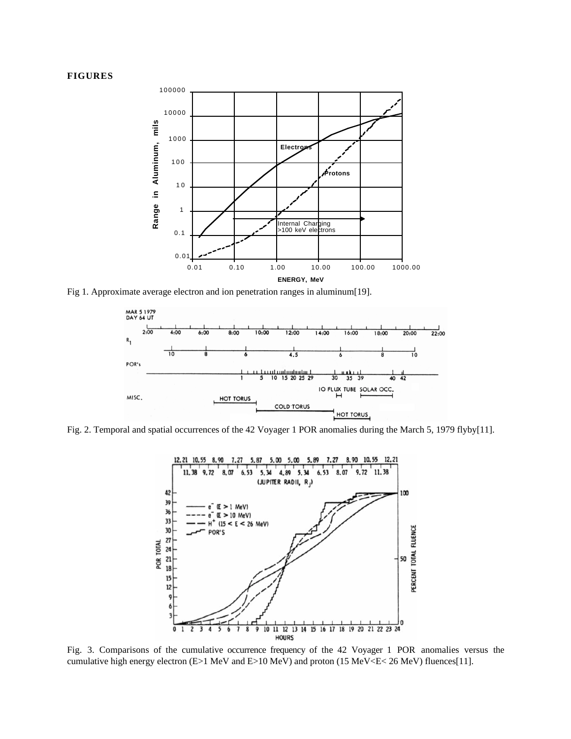### **FIGURES**



Fig 1. Approximate average electron and ion penetration ranges in aluminum[19].



Fig. 2. Temporal and spatial occurrences of the 42 Voyager 1 POR anomalies during the March 5, 1979 flyby[11].



Fig. 3. Comparisons of the cumulative occurrence frequency of the 42 Voyager 1 POR anomalies versus the cumulative high energy electron (E>1 MeV and E>10 MeV) and proton (15 MeV<E< 26 MeV) fluences[11].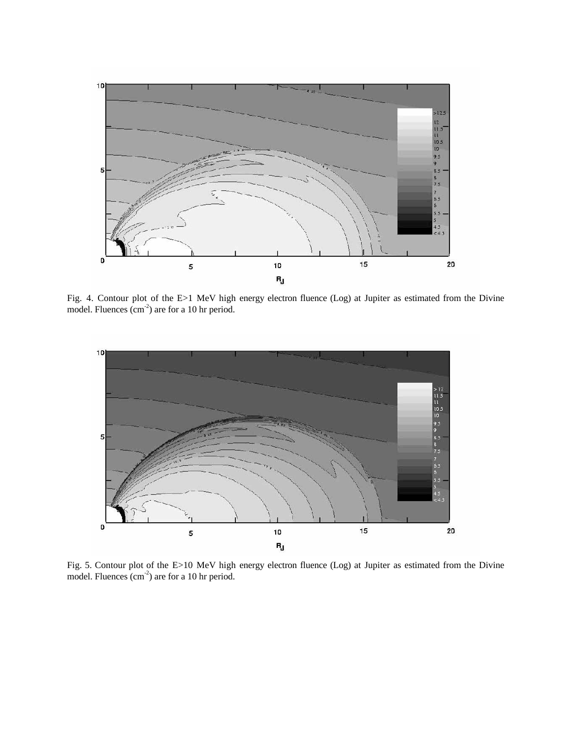

Fig. 4. Contour plot of the E>1 MeV high energy electron fluence (Log) at Jupiter as estimated from the Divine model. Fluences (cm<sup>-2</sup>) are for a 10 hr period.



Fig. 5. Contour plot of the E>10 MeV high energy electron fluence (Log) at Jupiter as estimated from the Divine model. Fluences  $(cm<sup>-2</sup>)$  are for a 10 hr period.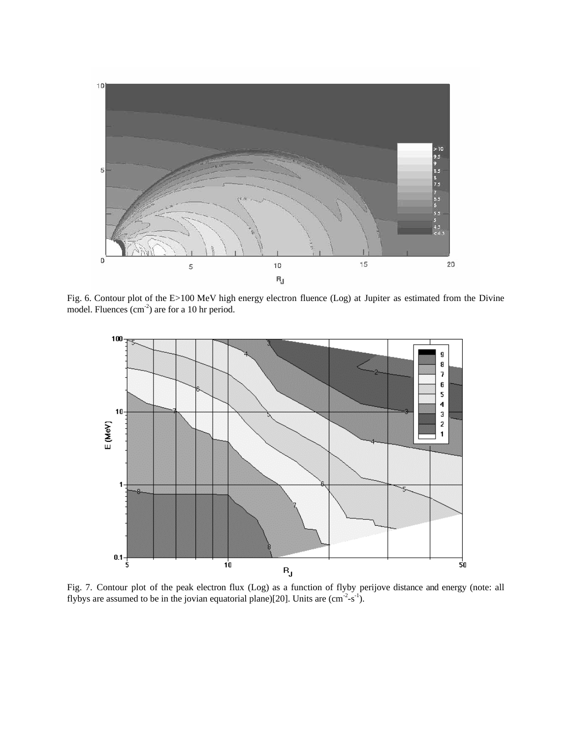

Fig. 6. Contour plot of the E>100 MeV high energy electron fluence (Log) at Jupiter as estimated from the Divine model. Fluences (cm<sup>-2</sup>) are for a 10 hr period.



Fig. 7. Contour plot of the peak electron flux (Log) as a function of flyby perijove distance and energy (note: all flybys are assumed to be in the jovian equatorial plane)[20]. Units are  $(cm<sup>-2</sup>-s<sup>-1</sup>).$